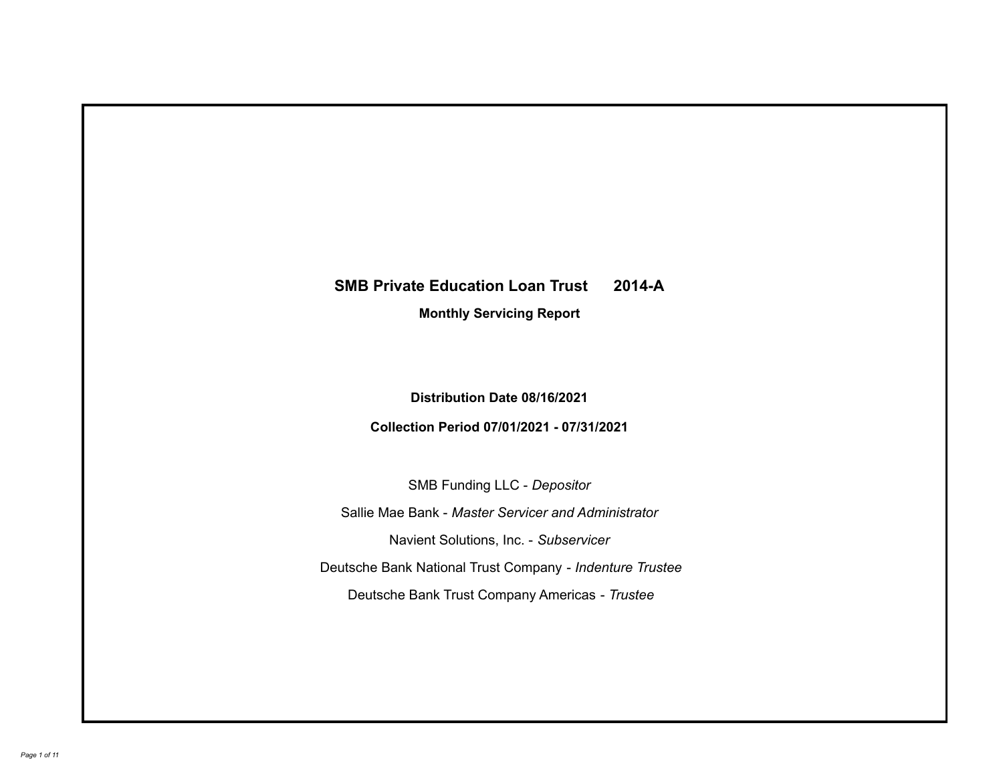## **SMB Private Education Loan Trust 2014-A**

**Monthly Servicing Report**

**Distribution Date 08/16/2021**

**Collection Period 07/01/2021 - 07/31/2021**

SMB Funding LLC - *Depositor*

Sallie Mae Bank - *Master Servicer and Administrator*

Navient Solutions, Inc. - *Subservicer*

Deutsche Bank National Trust Company - *Indenture Trustee*

Deutsche Bank Trust Company Americas - *Trustee*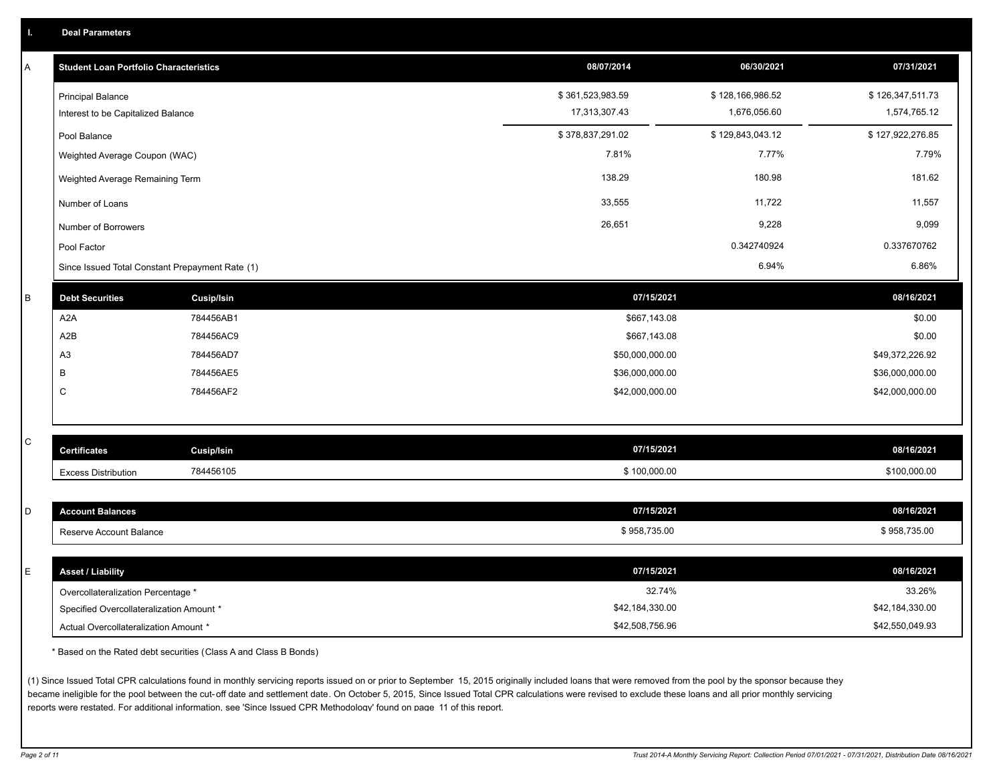| A         | <b>Student Loan Portfolio Characteristics</b>                                  |                   | 08/07/2014       | 06/30/2021       | 07/31/2021       |
|-----------|--------------------------------------------------------------------------------|-------------------|------------------|------------------|------------------|
|           | <b>Principal Balance</b>                                                       |                   | \$361,523,983.59 | \$128,166,986.52 | \$126,347,511.73 |
|           | Interest to be Capitalized Balance                                             |                   | 17,313,307.43    | 1,676,056.60     | 1,574,765.12     |
|           | Pool Balance                                                                   |                   | \$378,837,291.02 | \$129,843,043.12 | \$127,922,276.85 |
|           | Weighted Average Coupon (WAC)                                                  |                   | 7.81%            | 7.77%            | 7.79%            |
|           | Weighted Average Remaining Term                                                |                   | 138.29           | 180.98           | 181.62           |
|           | Number of Loans                                                                |                   | 33,555           | 11,722           | 11,557           |
|           | Number of Borrowers                                                            |                   | 26,651           | 9,228            | 9,099            |
|           | Pool Factor                                                                    |                   |                  | 0.342740924      | 0.337670762      |
|           | Since Issued Total Constant Prepayment Rate (1)                                |                   |                  | 6.94%            | 6.86%            |
| B         | <b>Debt Securities</b>                                                         | <b>Cusip/Isin</b> | 07/15/2021       |                  | 08/16/2021       |
|           | A <sub>2</sub> A                                                               | 784456AB1         | \$667,143.08     |                  | \$0.00           |
|           | A2B                                                                            | 784456AC9         | \$667,143.08     |                  | \$0.00           |
|           | A <sub>3</sub>                                                                 | 784456AD7         | \$50,000,000.00  |                  | \$49,372,226.92  |
|           | B                                                                              | 784456AE5         | \$36,000,000.00  |                  | \$36,000,000.00  |
|           | $\mathsf{C}$                                                                   | 784456AF2         | \$42,000,000.00  |                  | \$42,000,000.00  |
|           |                                                                                |                   |                  |                  |                  |
| ${\bf C}$ |                                                                                |                   | 07/15/2021       |                  |                  |
|           | <b>Certificates</b>                                                            | <b>Cusip/Isin</b> |                  |                  | 08/16/2021       |
|           | <b>Excess Distribution</b>                                                     | 784456105         | \$100,000.00     |                  | \$100,000.00     |
|           |                                                                                |                   |                  |                  | 08/16/2021       |
| D         | <b>Account Balances</b>                                                        |                   | 07/15/2021       |                  |                  |
|           | Reserve Account Balance                                                        |                   | \$958,735.00     |                  | \$958,735.00     |
| E         | <b>Asset / Liability</b>                                                       |                   | 07/15/2021       |                  | 08/16/2021       |
|           |                                                                                |                   | 32.74%           |                  | 33.26%           |
|           | Overcollateralization Percentage *<br>Specified Overcollateralization Amount * |                   | \$42,184,330.00  |                  | \$42,184,330.00  |
|           | Actual Overcollateralization Amount *                                          |                   | \$42,508,756.96  |                  | \$42,550,049.93  |
|           |                                                                                |                   |                  |                  |                  |

\* Based on the Rated debt securities (Class A and Class B Bonds)

(1) Since Issued Total CPR calculations found in monthly servicing reports issued on or prior to September 15, 2015 originally included loans that were removed from the pool by the sponsor because they became ineligible for the pool between the cut-off date and settlement date. On October 5, 2015, Since Issued Total CPR calculations were revised to exclude these loans and all prior monthly servicing reports were restated. For additional information, see 'Since Issued CPR Methodology' found on page 11 of this report.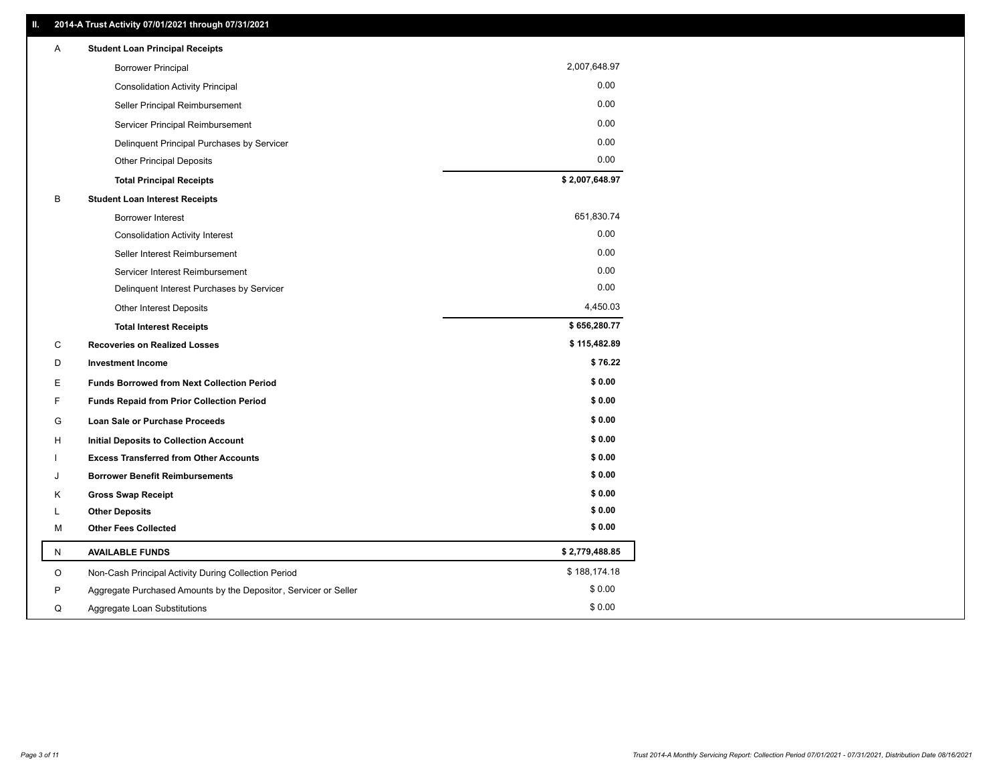| 2,007,648.97<br><b>Borrower Principal</b><br>0.00<br><b>Consolidation Activity Principal</b><br>0.00<br>Seller Principal Reimbursement<br>0.00<br>Servicer Principal Reimbursement<br>0.00<br>Delinquent Principal Purchases by Servicer<br>0.00<br><b>Other Principal Deposits</b><br>\$2,007,648.97<br><b>Total Principal Receipts</b><br>В<br><b>Student Loan Interest Receipts</b><br>651,830.74<br>Borrower Interest<br>0.00<br><b>Consolidation Activity Interest</b><br>0.00<br>Seller Interest Reimbursement<br>0.00<br>Servicer Interest Reimbursement<br>0.00<br>Delinquent Interest Purchases by Servicer<br>4,450.03<br>Other Interest Deposits<br>\$656,280.77<br><b>Total Interest Receipts</b><br>\$115,482.89<br>C<br><b>Recoveries on Realized Losses</b><br>\$76.22<br>D<br><b>Investment Income</b><br>\$0.00<br>E<br><b>Funds Borrowed from Next Collection Period</b><br>\$0.00<br>F<br>Funds Repaid from Prior Collection Period<br>\$0.00<br>G<br>Loan Sale or Purchase Proceeds<br>\$0.00<br>н<br><b>Initial Deposits to Collection Account</b><br>\$0.00<br><b>Excess Transferred from Other Accounts</b><br>\$0.00<br><b>Borrower Benefit Reimbursements</b><br>J<br>\$0.00<br>Κ<br><b>Gross Swap Receipt</b><br>\$0.00<br><b>Other Deposits</b><br>L<br>\$0.00<br>М<br><b>Other Fees Collected</b><br>\$2,779,488.85<br><b>AVAILABLE FUNDS</b><br>N<br>\$188,174.18<br>O<br>Non-Cash Principal Activity During Collection Period<br>\$0.00<br>P<br>Aggregate Purchased Amounts by the Depositor, Servicer or Seller<br>\$0.00<br>Q<br>Aggregate Loan Substitutions | Α | <b>Student Loan Principal Receipts</b> |  |
|-----------------------------------------------------------------------------------------------------------------------------------------------------------------------------------------------------------------------------------------------------------------------------------------------------------------------------------------------------------------------------------------------------------------------------------------------------------------------------------------------------------------------------------------------------------------------------------------------------------------------------------------------------------------------------------------------------------------------------------------------------------------------------------------------------------------------------------------------------------------------------------------------------------------------------------------------------------------------------------------------------------------------------------------------------------------------------------------------------------------------------------------------------------------------------------------------------------------------------------------------------------------------------------------------------------------------------------------------------------------------------------------------------------------------------------------------------------------------------------------------------------------------------------------------------------------------------------------------|---|----------------------------------------|--|
|                                                                                                                                                                                                                                                                                                                                                                                                                                                                                                                                                                                                                                                                                                                                                                                                                                                                                                                                                                                                                                                                                                                                                                                                                                                                                                                                                                                                                                                                                                                                                                                               |   |                                        |  |
|                                                                                                                                                                                                                                                                                                                                                                                                                                                                                                                                                                                                                                                                                                                                                                                                                                                                                                                                                                                                                                                                                                                                                                                                                                                                                                                                                                                                                                                                                                                                                                                               |   |                                        |  |
|                                                                                                                                                                                                                                                                                                                                                                                                                                                                                                                                                                                                                                                                                                                                                                                                                                                                                                                                                                                                                                                                                                                                                                                                                                                                                                                                                                                                                                                                                                                                                                                               |   |                                        |  |
|                                                                                                                                                                                                                                                                                                                                                                                                                                                                                                                                                                                                                                                                                                                                                                                                                                                                                                                                                                                                                                                                                                                                                                                                                                                                                                                                                                                                                                                                                                                                                                                               |   |                                        |  |
|                                                                                                                                                                                                                                                                                                                                                                                                                                                                                                                                                                                                                                                                                                                                                                                                                                                                                                                                                                                                                                                                                                                                                                                                                                                                                                                                                                                                                                                                                                                                                                                               |   |                                        |  |
|                                                                                                                                                                                                                                                                                                                                                                                                                                                                                                                                                                                                                                                                                                                                                                                                                                                                                                                                                                                                                                                                                                                                                                                                                                                                                                                                                                                                                                                                                                                                                                                               |   |                                        |  |
|                                                                                                                                                                                                                                                                                                                                                                                                                                                                                                                                                                                                                                                                                                                                                                                                                                                                                                                                                                                                                                                                                                                                                                                                                                                                                                                                                                                                                                                                                                                                                                                               |   |                                        |  |
|                                                                                                                                                                                                                                                                                                                                                                                                                                                                                                                                                                                                                                                                                                                                                                                                                                                                                                                                                                                                                                                                                                                                                                                                                                                                                                                                                                                                                                                                                                                                                                                               |   |                                        |  |
|                                                                                                                                                                                                                                                                                                                                                                                                                                                                                                                                                                                                                                                                                                                                                                                                                                                                                                                                                                                                                                                                                                                                                                                                                                                                                                                                                                                                                                                                                                                                                                                               |   |                                        |  |
|                                                                                                                                                                                                                                                                                                                                                                                                                                                                                                                                                                                                                                                                                                                                                                                                                                                                                                                                                                                                                                                                                                                                                                                                                                                                                                                                                                                                                                                                                                                                                                                               |   |                                        |  |
|                                                                                                                                                                                                                                                                                                                                                                                                                                                                                                                                                                                                                                                                                                                                                                                                                                                                                                                                                                                                                                                                                                                                                                                                                                                                                                                                                                                                                                                                                                                                                                                               |   |                                        |  |
|                                                                                                                                                                                                                                                                                                                                                                                                                                                                                                                                                                                                                                                                                                                                                                                                                                                                                                                                                                                                                                                                                                                                                                                                                                                                                                                                                                                                                                                                                                                                                                                               |   |                                        |  |
|                                                                                                                                                                                                                                                                                                                                                                                                                                                                                                                                                                                                                                                                                                                                                                                                                                                                                                                                                                                                                                                                                                                                                                                                                                                                                                                                                                                                                                                                                                                                                                                               |   |                                        |  |
|                                                                                                                                                                                                                                                                                                                                                                                                                                                                                                                                                                                                                                                                                                                                                                                                                                                                                                                                                                                                                                                                                                                                                                                                                                                                                                                                                                                                                                                                                                                                                                                               |   |                                        |  |
|                                                                                                                                                                                                                                                                                                                                                                                                                                                                                                                                                                                                                                                                                                                                                                                                                                                                                                                                                                                                                                                                                                                                                                                                                                                                                                                                                                                                                                                                                                                                                                                               |   |                                        |  |
|                                                                                                                                                                                                                                                                                                                                                                                                                                                                                                                                                                                                                                                                                                                                                                                                                                                                                                                                                                                                                                                                                                                                                                                                                                                                                                                                                                                                                                                                                                                                                                                               |   |                                        |  |
|                                                                                                                                                                                                                                                                                                                                                                                                                                                                                                                                                                                                                                                                                                                                                                                                                                                                                                                                                                                                                                                                                                                                                                                                                                                                                                                                                                                                                                                                                                                                                                                               |   |                                        |  |
|                                                                                                                                                                                                                                                                                                                                                                                                                                                                                                                                                                                                                                                                                                                                                                                                                                                                                                                                                                                                                                                                                                                                                                                                                                                                                                                                                                                                                                                                                                                                                                                               |   |                                        |  |
|                                                                                                                                                                                                                                                                                                                                                                                                                                                                                                                                                                                                                                                                                                                                                                                                                                                                                                                                                                                                                                                                                                                                                                                                                                                                                                                                                                                                                                                                                                                                                                                               |   |                                        |  |
|                                                                                                                                                                                                                                                                                                                                                                                                                                                                                                                                                                                                                                                                                                                                                                                                                                                                                                                                                                                                                                                                                                                                                                                                                                                                                                                                                                                                                                                                                                                                                                                               |   |                                        |  |
|                                                                                                                                                                                                                                                                                                                                                                                                                                                                                                                                                                                                                                                                                                                                                                                                                                                                                                                                                                                                                                                                                                                                                                                                                                                                                                                                                                                                                                                                                                                                                                                               |   |                                        |  |
|                                                                                                                                                                                                                                                                                                                                                                                                                                                                                                                                                                                                                                                                                                                                                                                                                                                                                                                                                                                                                                                                                                                                                                                                                                                                                                                                                                                                                                                                                                                                                                                               |   |                                        |  |
|                                                                                                                                                                                                                                                                                                                                                                                                                                                                                                                                                                                                                                                                                                                                                                                                                                                                                                                                                                                                                                                                                                                                                                                                                                                                                                                                                                                                                                                                                                                                                                                               |   |                                        |  |
|                                                                                                                                                                                                                                                                                                                                                                                                                                                                                                                                                                                                                                                                                                                                                                                                                                                                                                                                                                                                                                                                                                                                                                                                                                                                                                                                                                                                                                                                                                                                                                                               |   |                                        |  |
|                                                                                                                                                                                                                                                                                                                                                                                                                                                                                                                                                                                                                                                                                                                                                                                                                                                                                                                                                                                                                                                                                                                                                                                                                                                                                                                                                                                                                                                                                                                                                                                               |   |                                        |  |
|                                                                                                                                                                                                                                                                                                                                                                                                                                                                                                                                                                                                                                                                                                                                                                                                                                                                                                                                                                                                                                                                                                                                                                                                                                                                                                                                                                                                                                                                                                                                                                                               |   |                                        |  |
|                                                                                                                                                                                                                                                                                                                                                                                                                                                                                                                                                                                                                                                                                                                                                                                                                                                                                                                                                                                                                                                                                                                                                                                                                                                                                                                                                                                                                                                                                                                                                                                               |   |                                        |  |
|                                                                                                                                                                                                                                                                                                                                                                                                                                                                                                                                                                                                                                                                                                                                                                                                                                                                                                                                                                                                                                                                                                                                                                                                                                                                                                                                                                                                                                                                                                                                                                                               |   |                                        |  |
|                                                                                                                                                                                                                                                                                                                                                                                                                                                                                                                                                                                                                                                                                                                                                                                                                                                                                                                                                                                                                                                                                                                                                                                                                                                                                                                                                                                                                                                                                                                                                                                               |   |                                        |  |
|                                                                                                                                                                                                                                                                                                                                                                                                                                                                                                                                                                                                                                                                                                                                                                                                                                                                                                                                                                                                                                                                                                                                                                                                                                                                                                                                                                                                                                                                                                                                                                                               |   |                                        |  |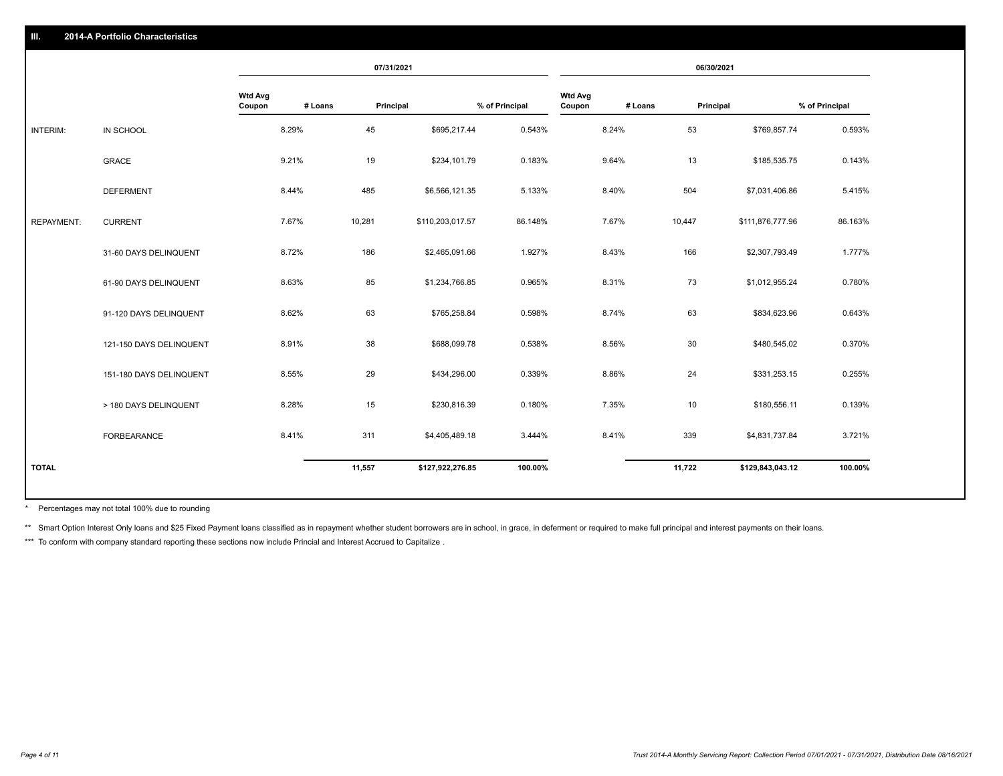|                   |                         |                          |         | 07/31/2021 |                  |                |                          |         | 06/30/2021 |                  |                |
|-------------------|-------------------------|--------------------------|---------|------------|------------------|----------------|--------------------------|---------|------------|------------------|----------------|
|                   |                         | <b>Wtd Avg</b><br>Coupon | # Loans | Principal  |                  | % of Principal | <b>Wtd Avg</b><br>Coupon | # Loans | Principal  |                  | % of Principal |
| <b>INTERIM:</b>   | IN SCHOOL               |                          | 8.29%   | 45         | \$695,217.44     | 0.543%         |                          | 8.24%   | 53         | \$769,857.74     | 0.593%         |
|                   | <b>GRACE</b>            |                          | 9.21%   | 19         | \$234,101.79     | 0.183%         |                          | 9.64%   | 13         | \$185,535.75     | 0.143%         |
|                   | <b>DEFERMENT</b>        |                          | 8.44%   | 485        | \$6,566,121.35   | 5.133%         |                          | 8.40%   | 504        | \$7,031,406.86   | 5.415%         |
| <b>REPAYMENT:</b> | <b>CURRENT</b>          |                          | 7.67%   | 10,281     | \$110,203,017.57 | 86.148%        |                          | 7.67%   | 10,447     | \$111,876,777.96 | 86.163%        |
|                   | 31-60 DAYS DELINQUENT   |                          | 8.72%   | 186        | \$2,465,091.66   | 1.927%         |                          | 8.43%   | 166        | \$2,307,793.49   | 1.777%         |
|                   | 61-90 DAYS DELINQUENT   |                          | 8.63%   | 85         | \$1,234,766.85   | 0.965%         |                          | 8.31%   | 73         | \$1,012,955.24   | 0.780%         |
|                   | 91-120 DAYS DELINQUENT  |                          | 8.62%   | 63         | \$765,258.84     | 0.598%         |                          | 8.74%   | 63         | \$834,623.96     | 0.643%         |
|                   | 121-150 DAYS DELINQUENT |                          | 8.91%   | 38         | \$688,099.78     | 0.538%         |                          | 8.56%   | 30         | \$480,545.02     | 0.370%         |
|                   | 151-180 DAYS DELINQUENT |                          | 8.55%   | 29         | \$434,296.00     | 0.339%         |                          | 8.86%   | 24         | \$331,253.15     | 0.255%         |
|                   | > 180 DAYS DELINQUENT   |                          | 8.28%   | 15         | \$230,816.39     | 0.180%         |                          | 7.35%   | 10         | \$180,556.11     | 0.139%         |
|                   | <b>FORBEARANCE</b>      |                          | 8.41%   | 311        | \$4,405,489.18   | 3.444%         |                          | 8.41%   | 339        | \$4,831,737.84   | 3.721%         |
| <b>TOTAL</b>      |                         |                          |         | 11,557     | \$127,922,276.85 | 100.00%        |                          |         | 11,722     | \$129,843,043.12 | 100.00%        |
|                   |                         |                          |         |            |                  |                |                          |         |            |                  |                |

Percentages may not total 100% due to rounding \*

\*\* Smart Option Interest Only loans and \$25 Fixed Payment loans classified as in repayment whether student borrowers are in school, in grace, in deferment or required to make full principal and interest payments on their l

\*\*\* To conform with company standard reporting these sections now include Princial and Interest Accrued to Capitalize .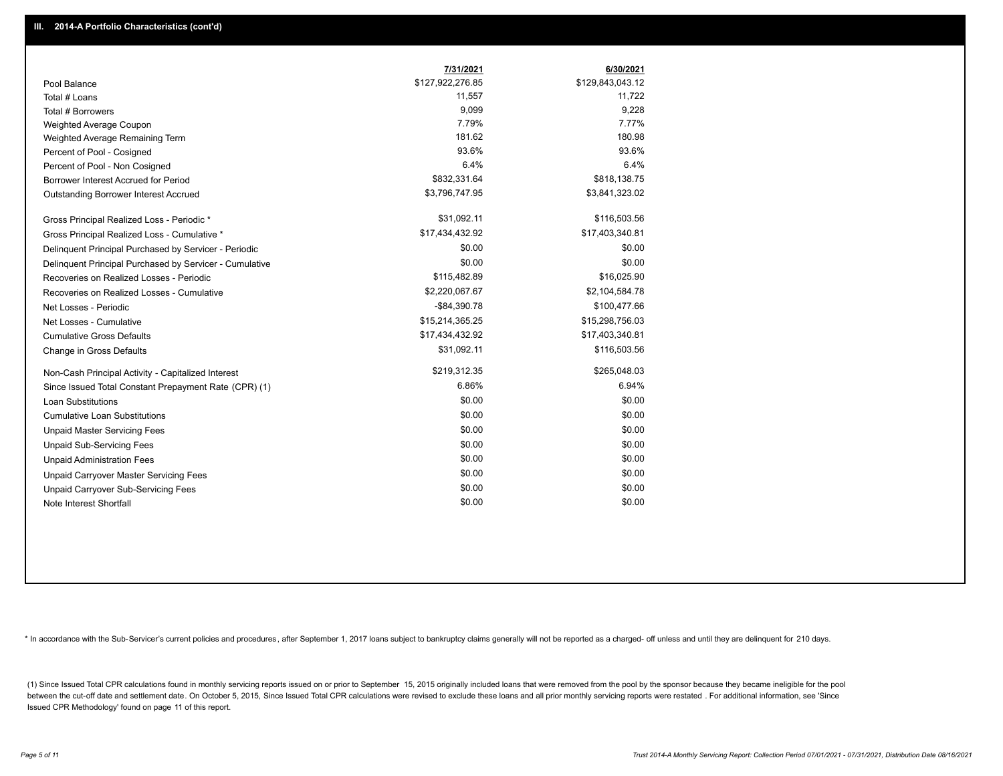|                                                         | 7/31/2021        | 6/30/2021        |
|---------------------------------------------------------|------------------|------------------|
| Pool Balance                                            | \$127,922,276.85 | \$129,843,043.12 |
| Total # Loans                                           | 11,557           | 11,722           |
| Total # Borrowers                                       | 9,099            | 9,228            |
| Weighted Average Coupon                                 | 7.79%            | 7.77%            |
| Weighted Average Remaining Term                         | 181.62           | 180.98           |
| Percent of Pool - Cosigned                              | 93.6%            | 93.6%            |
| Percent of Pool - Non Cosigned                          | 6.4%             | 6.4%             |
| Borrower Interest Accrued for Period                    | \$832,331.64     | \$818,138.75     |
| Outstanding Borrower Interest Accrued                   | \$3,796,747.95   | \$3,841,323.02   |
| Gross Principal Realized Loss - Periodic *              | \$31,092.11      | \$116,503.56     |
| Gross Principal Realized Loss - Cumulative *            | \$17,434,432.92  | \$17,403,340.81  |
| Delinquent Principal Purchased by Servicer - Periodic   | \$0.00           | \$0.00           |
| Delinquent Principal Purchased by Servicer - Cumulative | \$0.00           | \$0.00           |
| Recoveries on Realized Losses - Periodic                | \$115,482.89     | \$16,025.90      |
| Recoveries on Realized Losses - Cumulative              | \$2,220,067.67   | \$2,104,584.78   |
| Net Losses - Periodic                                   | $-$84,390.78$    | \$100,477.66     |
| Net Losses - Cumulative                                 | \$15,214,365.25  | \$15,298,756.03  |
| <b>Cumulative Gross Defaults</b>                        | \$17,434,432.92  | \$17,403,340.81  |
| Change in Gross Defaults                                | \$31,092.11      | \$116,503.56     |
| Non-Cash Principal Activity - Capitalized Interest      | \$219,312.35     | \$265,048.03     |
| Since Issued Total Constant Prepayment Rate (CPR) (1)   | 6.86%            | 6.94%            |
| <b>Loan Substitutions</b>                               | \$0.00           | \$0.00           |
| <b>Cumulative Loan Substitutions</b>                    | \$0.00           | \$0.00           |
| <b>Unpaid Master Servicing Fees</b>                     | \$0.00           | \$0.00           |
| <b>Unpaid Sub-Servicing Fees</b>                        | \$0.00           | \$0.00           |
| <b>Unpaid Administration Fees</b>                       | \$0.00           | \$0.00           |
| Unpaid Carryover Master Servicing Fees                  | \$0.00           | \$0.00           |
| Unpaid Carryover Sub-Servicing Fees                     | \$0.00           | \$0.00           |
| Note Interest Shortfall                                 | \$0.00           | \$0.00           |

\* In accordance with the Sub-Servicer's current policies and procedures, after September 1, 2017 loans subject to bankruptcy claims generally will not be reported as a charged- off unless and until they are delinquent for

(1) Since Issued Total CPR calculations found in monthly servicing reports issued on or prior to September 15, 2015 originally included loans that were removed from the pool by the sponsor because they became ineligible fo between the cut-off date and settlement date. On October 5, 2015, Since Issued Total CPR calculations were revised to exclude these loans and all prior monthly servicing reports were restated. For additional information, s Issued CPR Methodology' found on page 11 of this report.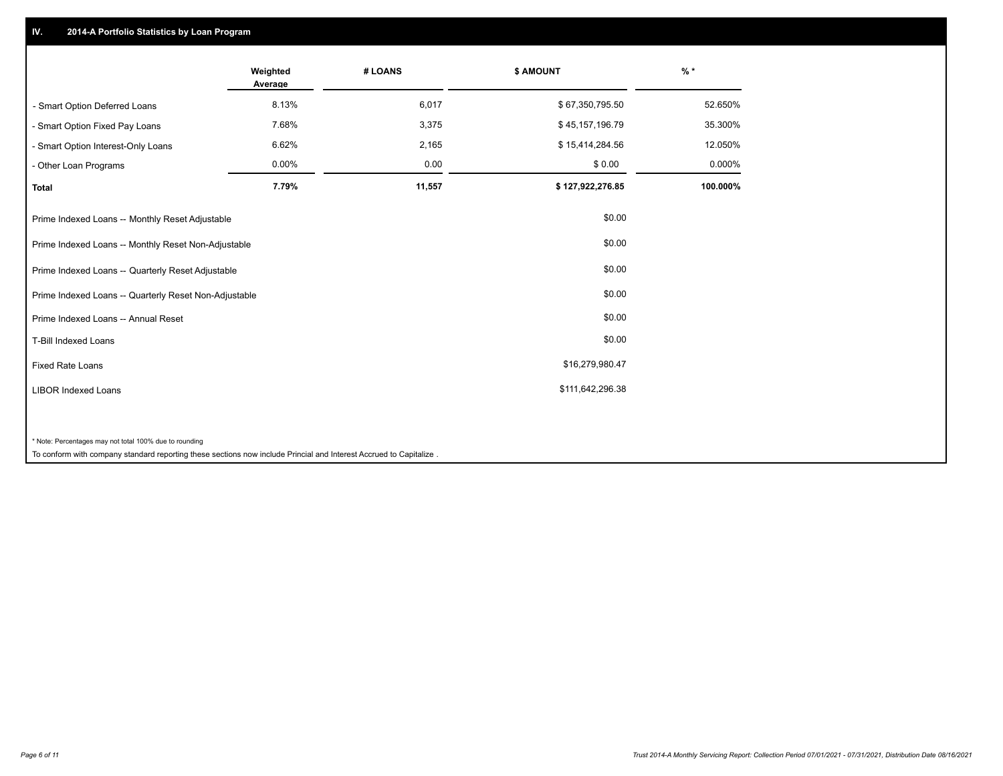## **IV. 2014-A Portfolio Statistics by Loan Program**

|                                                                                                                    | Weighted<br>Average | # LOANS | \$ AMOUNT        | $%$ *    |
|--------------------------------------------------------------------------------------------------------------------|---------------------|---------|------------------|----------|
| - Smart Option Deferred Loans                                                                                      | 8.13%               | 6,017   | \$67,350,795.50  | 52.650%  |
| - Smart Option Fixed Pay Loans                                                                                     | 7.68%               | 3,375   | \$45,157,196.79  | 35.300%  |
| - Smart Option Interest-Only Loans                                                                                 | 6.62%               | 2,165   | \$15,414,284.56  | 12.050%  |
| - Other Loan Programs                                                                                              | 0.00%               | 0.00    | \$0.00           | 0.000%   |
| <b>Total</b>                                                                                                       | 7.79%               | 11,557  | \$127,922,276.85 | 100.000% |
| Prime Indexed Loans -- Monthly Reset Adjustable                                                                    |                     |         | \$0.00           |          |
| Prime Indexed Loans -- Monthly Reset Non-Adjustable                                                                |                     |         | \$0.00           |          |
| Prime Indexed Loans -- Quarterly Reset Adjustable                                                                  |                     |         | \$0.00           |          |
| Prime Indexed Loans -- Quarterly Reset Non-Adjustable                                                              |                     |         | \$0.00           |          |
| Prime Indexed Loans -- Annual Reset                                                                                |                     |         | \$0.00           |          |
| T-Bill Indexed Loans                                                                                               |                     |         | \$0.00           |          |
| <b>Fixed Rate Loans</b>                                                                                            |                     |         | \$16,279,980.47  |          |
| <b>LIBOR Indexed Loans</b>                                                                                         |                     |         | \$111,642,296.38 |          |
|                                                                                                                    |                     |         |                  |          |
| * Note: Percentages may not total 100% due to rounding                                                             |                     |         |                  |          |
| To conform with company standard reporting these sections now include Princial and Interest Accrued to Capitalize. |                     |         |                  |          |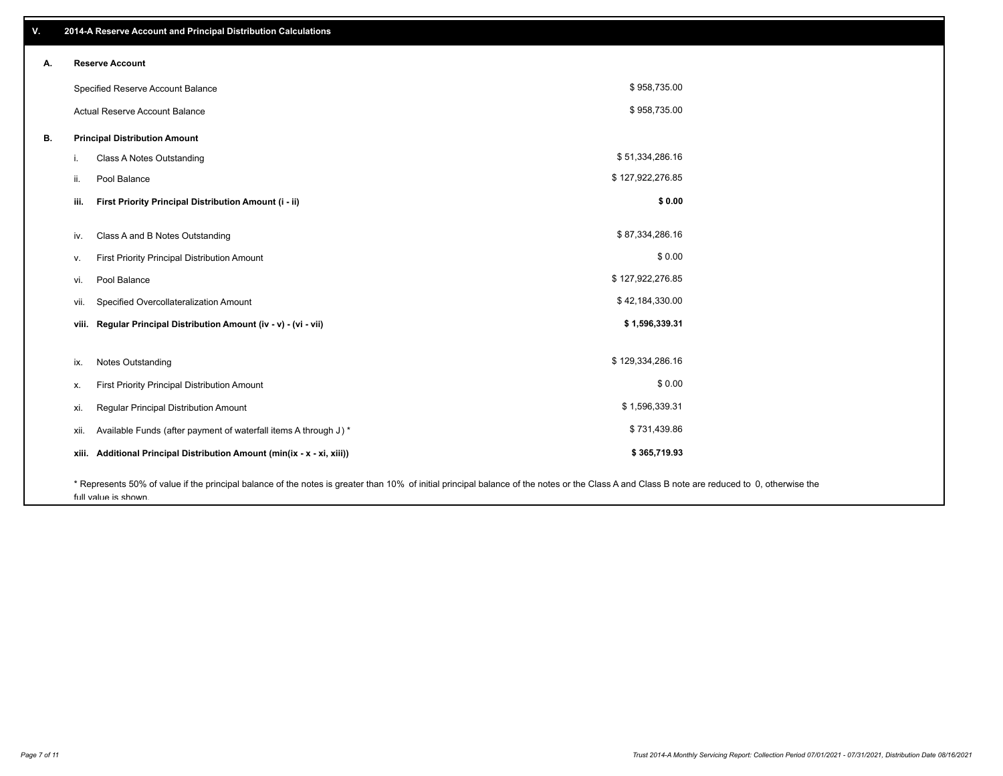| ٧. |       | 2014-A Reserve Account and Principal Distribution Calculations                                                                                                                                                        |                  |  |
|----|-------|-----------------------------------------------------------------------------------------------------------------------------------------------------------------------------------------------------------------------|------------------|--|
| А. |       | <b>Reserve Account</b>                                                                                                                                                                                                |                  |  |
|    |       | Specified Reserve Account Balance                                                                                                                                                                                     | \$958,735.00     |  |
|    |       | Actual Reserve Account Balance                                                                                                                                                                                        | \$958,735.00     |  |
| В. |       | <b>Principal Distribution Amount</b>                                                                                                                                                                                  |                  |  |
|    | i.    | Class A Notes Outstanding                                                                                                                                                                                             | \$51,334,286.16  |  |
|    | ii.   | Pool Balance                                                                                                                                                                                                          | \$127,922,276.85 |  |
|    | iii.  | First Priority Principal Distribution Amount (i - ii)                                                                                                                                                                 | \$0.00           |  |
|    |       |                                                                                                                                                                                                                       |                  |  |
|    | iv.   | Class A and B Notes Outstanding                                                                                                                                                                                       | \$87,334,286.16  |  |
|    | ν.    | First Priority Principal Distribution Amount                                                                                                                                                                          | \$0.00           |  |
|    | vi.   | Pool Balance                                                                                                                                                                                                          | \$127,922,276.85 |  |
|    | vii.  | Specified Overcollateralization Amount                                                                                                                                                                                | \$42,184,330.00  |  |
|    | viii. | Regular Principal Distribution Amount (iv - v) - (vi - vii)                                                                                                                                                           | \$1,596,339.31   |  |
|    |       |                                                                                                                                                                                                                       |                  |  |
|    | ix.   | <b>Notes Outstanding</b>                                                                                                                                                                                              | \$129,334,286.16 |  |
|    | х.    | First Priority Principal Distribution Amount                                                                                                                                                                          | \$0.00           |  |
|    | xi.   | Regular Principal Distribution Amount                                                                                                                                                                                 | \$1,596,339.31   |  |
|    | xii.  | Available Funds (after payment of waterfall items A through J) *                                                                                                                                                      | \$731,439.86     |  |
|    | xiii. | Additional Principal Distribution Amount (min(ix - x - xi, xiii))                                                                                                                                                     | \$365,719.93     |  |
|    |       | * Represents 50% of value if the principal balance of the notes is greater than 10% of initial principal balance of the notes or the Class A and Class B note are reduced to 0, otherwise the<br>full value is shown. |                  |  |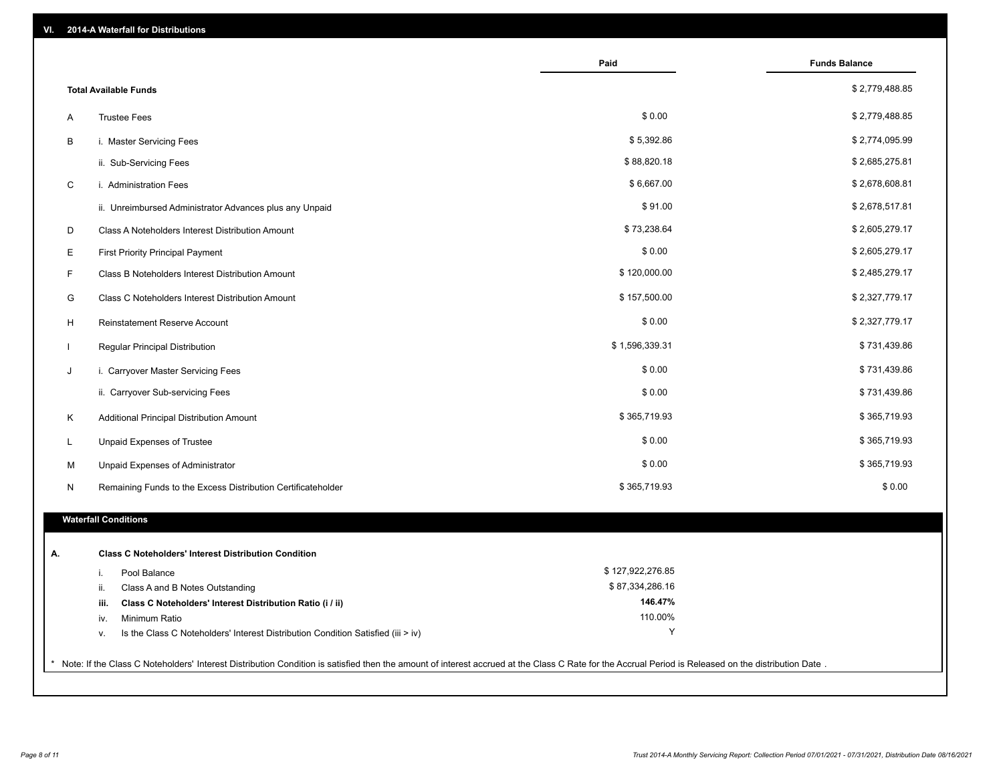| VI. | 2014-A Waterfall for Distributions                                                                                                                                                                    |                  |                      |
|-----|-------------------------------------------------------------------------------------------------------------------------------------------------------------------------------------------------------|------------------|----------------------|
|     |                                                                                                                                                                                                       | Paid             | <b>Funds Balance</b> |
|     | <b>Total Available Funds</b>                                                                                                                                                                          |                  | \$2,779,488.85       |
| Α   | <b>Trustee Fees</b>                                                                                                                                                                                   | \$0.00           | \$2,779,488.85       |
| В   | i. Master Servicing Fees                                                                                                                                                                              | \$5,392.86       | \$2,774,095.99       |
|     | ii. Sub-Servicing Fees                                                                                                                                                                                | \$88,820.18      | \$2,685,275.81       |
| C   | i. Administration Fees                                                                                                                                                                                | \$6,667.00       | \$2,678,608.81       |
|     | ii. Unreimbursed Administrator Advances plus any Unpaid                                                                                                                                               | \$91.00          | \$2,678,517.81       |
| D   | Class A Noteholders Interest Distribution Amount                                                                                                                                                      | \$73,238.64      | \$2,605,279.17       |
| Е   | <b>First Priority Principal Payment</b>                                                                                                                                                               | \$0.00           | \$2,605,279.17       |
| F   | Class B Noteholders Interest Distribution Amount                                                                                                                                                      | \$120,000.00     | \$2,485,279.17       |
| G   | Class C Noteholders Interest Distribution Amount                                                                                                                                                      | \$157,500.00     | \$2,327,779.17       |
| H   | <b>Reinstatement Reserve Account</b>                                                                                                                                                                  | \$0.00           | \$2,327,779.17       |
|     | Regular Principal Distribution                                                                                                                                                                        | \$1,596,339.31   | \$731,439.86         |
| J   | i. Carryover Master Servicing Fees                                                                                                                                                                    | \$0.00           | \$731,439.86         |
|     | ii. Carryover Sub-servicing Fees                                                                                                                                                                      | \$0.00           | \$731,439.86         |
| Κ   | Additional Principal Distribution Amount                                                                                                                                                              | \$365,719.93     | \$365,719.93         |
| L   | Unpaid Expenses of Trustee                                                                                                                                                                            | \$0.00           | \$365,719.93         |
| M   | Unpaid Expenses of Administrator                                                                                                                                                                      | \$0.00           | \$365,719.93         |
| N   | Remaining Funds to the Excess Distribution Certificateholder                                                                                                                                          | \$365,719.93     | \$0.00               |
|     | <b>Waterfall Conditions</b>                                                                                                                                                                           |                  |                      |
|     |                                                                                                                                                                                                       |                  |                      |
| А.  | <b>Class C Noteholders' Interest Distribution Condition</b>                                                                                                                                           |                  |                      |
|     | Pool Balance<br>i.                                                                                                                                                                                    | \$127,922,276.85 |                      |
|     | ii.<br>Class A and B Notes Outstanding                                                                                                                                                                | \$87,334,286.16  |                      |
|     | Class C Noteholders' Interest Distribution Ratio (i / ii)<br>iii.                                                                                                                                     | 146.47%          |                      |
|     | Minimum Ratio<br>iv.                                                                                                                                                                                  | 110.00%<br>Υ     |                      |
|     | Is the Class C Noteholders' Interest Distribution Condition Satisfied (iii > iv)<br>v.                                                                                                                |                  |                      |
|     | * Note: If the Class C Noteholders' Interest Distribution Condition is satisfied then the amount of interest accrued at the Class C Rate for the Accrual Period is Released on the distribution Date. |                  |                      |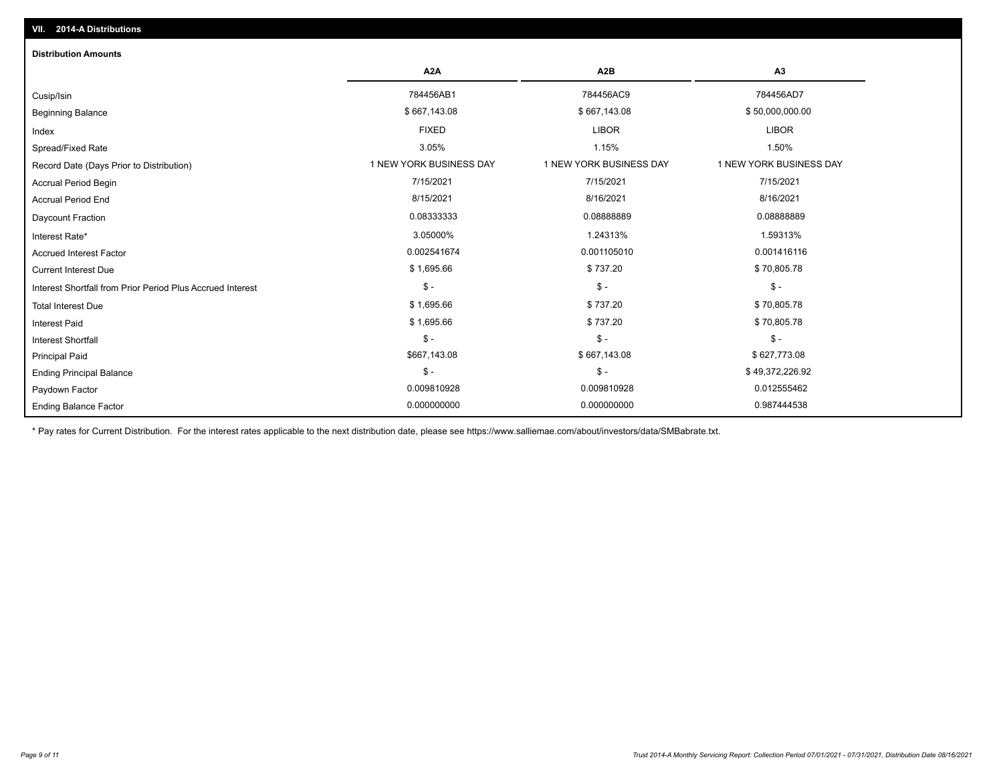| <b>Distribution Amounts</b>                                |                         |                         |                         |
|------------------------------------------------------------|-------------------------|-------------------------|-------------------------|
|                                                            | A <sub>2</sub> A        | A <sub>2</sub> B        | A <sub>3</sub>          |
| Cusip/Isin                                                 | 784456AB1               | 784456AC9               | 784456AD7               |
| <b>Beginning Balance</b>                                   | \$667,143.08            | \$667,143.08            | \$50,000,000.00         |
| Index                                                      | <b>FIXED</b>            | <b>LIBOR</b>            | <b>LIBOR</b>            |
| Spread/Fixed Rate                                          | 3.05%                   | 1.15%                   | 1.50%                   |
| Record Date (Days Prior to Distribution)                   | 1 NEW YORK BUSINESS DAY | 1 NEW YORK BUSINESS DAY | 1 NEW YORK BUSINESS DAY |
| Accrual Period Begin                                       | 7/15/2021               | 7/15/2021               | 7/15/2021               |
| <b>Accrual Period End</b>                                  | 8/15/2021               | 8/16/2021               | 8/16/2021               |
| <b>Daycount Fraction</b>                                   | 0.08333333              | 0.08888889              | 0.08888889              |
| Interest Rate*                                             | 3.05000%                | 1.24313%                | 1.59313%                |
| <b>Accrued Interest Factor</b>                             | 0.002541674             | 0.001105010             | 0.001416116             |
| <b>Current Interest Due</b>                                | \$1,695.66              | \$737.20                | \$70,805.78             |
| Interest Shortfall from Prior Period Plus Accrued Interest | $\mathsf{\$}$ -         | $\mathsf{\$}$ -         | $\mathsf{\$}$ -         |
| <b>Total Interest Due</b>                                  | \$1,695.66              | \$737.20                | \$70,805.78             |
| <b>Interest Paid</b>                                       | \$1,695.66              | \$737.20                | \$70,805.78             |
| <b>Interest Shortfall</b>                                  | $\mathsf{\$}$ -         | $\mathsf{\$}$ -         | $\frac{1}{2}$           |
| <b>Principal Paid</b>                                      | \$667,143.08            | \$667,143.08            | \$627,773.08            |
| <b>Ending Principal Balance</b>                            | $\mathbb{S}$ -          | $\mathsf{\$}$ -         | \$49,372,226.92         |
| Paydown Factor                                             | 0.009810928             | 0.009810928             | 0.012555462             |
| <b>Ending Balance Factor</b>                               | 0.000000000             | 0.000000000             | 0.987444538             |

\* Pay rates for Current Distribution. For the interest rates applicable to the next distribution date, please see https://www.salliemae.com/about/investors/data/SMBabrate.txt.

**VII. 2014-A Distributions**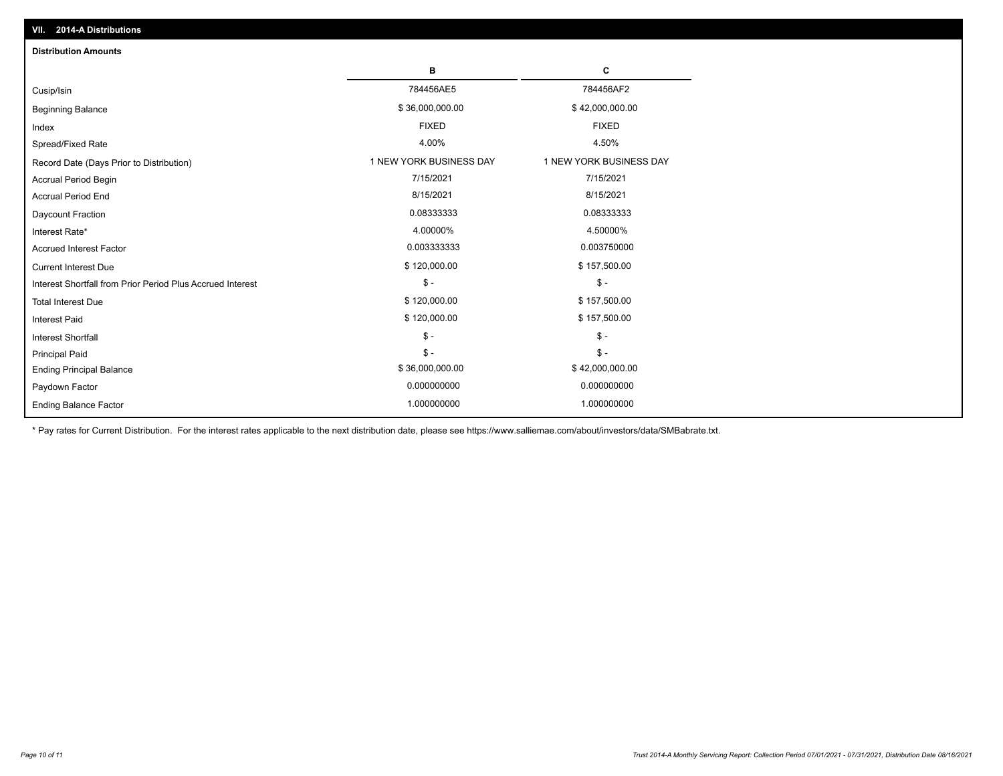| <b>Distribution Amounts</b>                                |                         |                         |
|------------------------------------------------------------|-------------------------|-------------------------|
|                                                            | в                       | C                       |
| Cusip/Isin                                                 | 784456AE5               | 784456AF2               |
| <b>Beginning Balance</b>                                   | \$36,000,000.00         | \$42,000,000.00         |
| Index                                                      | <b>FIXED</b>            | <b>FIXED</b>            |
| Spread/Fixed Rate                                          | 4.00%                   | 4.50%                   |
| Record Date (Days Prior to Distribution)                   | 1 NEW YORK BUSINESS DAY | 1 NEW YORK BUSINESS DAY |
| <b>Accrual Period Begin</b>                                | 7/15/2021               | 7/15/2021               |
| <b>Accrual Period End</b>                                  | 8/15/2021               | 8/15/2021               |
| Daycount Fraction                                          | 0.08333333              | 0.08333333              |
| Interest Rate*                                             | 4.00000%                | 4.50000%                |
| <b>Accrued Interest Factor</b>                             | 0.003333333             | 0.003750000             |
| <b>Current Interest Due</b>                                | \$120,000.00            | \$157,500.00            |
| Interest Shortfall from Prior Period Plus Accrued Interest | $\mathsf{\$}$ -         | $\mathsf{\$}$ -         |
| <b>Total Interest Due</b>                                  | \$120,000.00            | \$157,500.00            |
| <b>Interest Paid</b>                                       | \$120,000.00            | \$157,500.00            |
| <b>Interest Shortfall</b>                                  | $\frac{1}{2}$           | $$ -$                   |
| <b>Principal Paid</b>                                      | $\mathsf{\$}$ -         | $$ -$                   |
| <b>Ending Principal Balance</b>                            | \$36,000,000.00         | \$42,000,000.00         |
| Paydown Factor                                             | 0.000000000             | 0.000000000             |
| <b>Ending Balance Factor</b>                               | 1.000000000             | 1.000000000             |

\* Pay rates for Current Distribution. For the interest rates applicable to the next distribution date, please see https://www.salliemae.com/about/investors/data/SMBabrate.txt.

**VII. 2014-A Distributions**